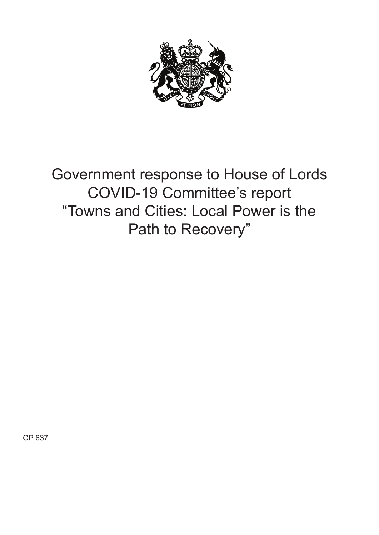

Government response to House of Lords COVID-19 Committee's report "Towns and Cities: Local Power is the Path to Recovery"

CP 637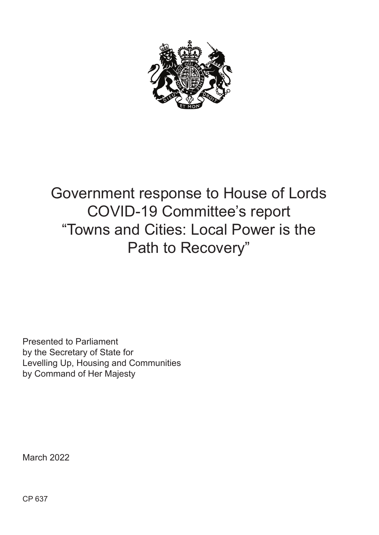

# Government response to House of Lords COVID-19 Committee's report "Towns and Cities: Local Power is the Path to Recovery"

Presented to Parliament by the Secretary of State for Levelling Up, Housing and Communities by Command of Her Majesty

March 2022

CP 637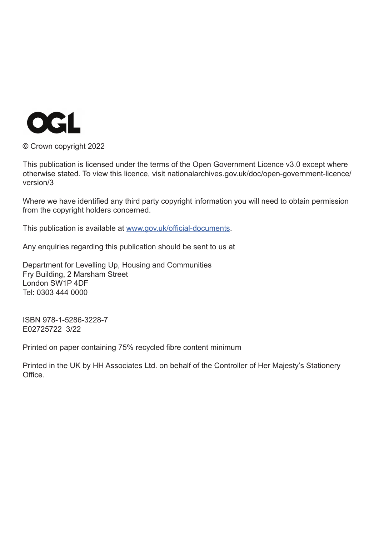

© Crown copyright 2022

This publication is licensed under the terms of the Open Government Licence v3.0 except where otherwise stated. To view this licence, visit nationalarchives.gov.uk/doc/open-government-licence/ version/3

Where we have identified any third party copyright information you will need to obtain permission from the copyright holders concerned.

This publication is available at www.gov.uk/official-documents.

Any enquiries regarding this publication should be sent to us at

Department for Levelling Up, Housing and Communities Fry Building, 2 Marsham Street London SW1P 4DF Tel: 0303 444 0000

ISBN 978-1-5286-3228-7 E02725722 3/22

Printed on paper containing 75% recycled fibre content minimum

Printed in the UK by HH Associates Ltd. on behalf of the Controller of Her Majesty's Stationery Office.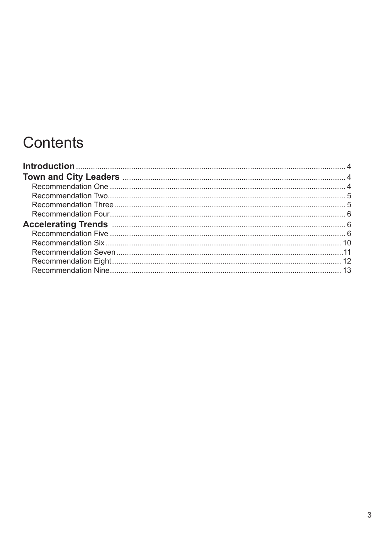# Contents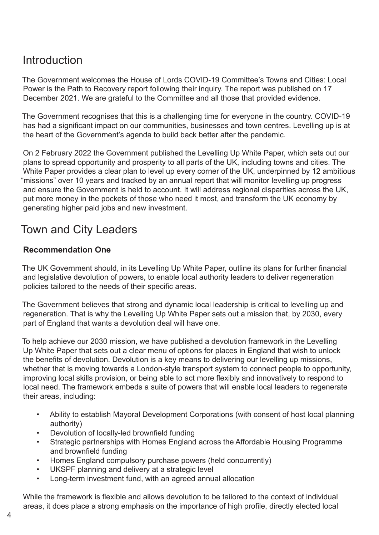## **Introduction**

The Government welcomes the House of Lords COVID-19 Committee's Towns and Cities: Local Power is the Path to Recovery report following their inquiry. The report was published on 17 December 2021. We are grateful to the Committee and all those that provided evidence.

The Government recognises that this is a challenging time for everyone in the country. COVID-19 has had a significant impact on our communities, businesses and town centres. Levelling up is at the heart of the Government's agenda to build back better after the pandemic.

On 2 February 2022 the Government published the Levelling Up White Paper, which sets out our plans to spread opportunity and prosperity to all parts of the UK, including towns and cities. The White Paper provides a clear plan to level up every corner of the UK, underpinned by 12 ambitious "missions" over 10 years and tracked by an annual report that will monitor levelling up progress and ensure the Government is held to account. It will address regional disparities across the UK, put more money in the pockets of those who need it most, and transform the UK economy by generating higher paid jobs and new investment.

## Town and City Leaders

### **Recommendation One**

The UK Government should, in its Levelling Up White Paper, outline its plans for further financial and legislative devolution of powers, to enable local authority leaders to deliver regeneration policies tailored to the needs of their specific areas.

The Government believes that strong and dynamic local leadership is critical to levelling up and regeneration. That is why the Levelling Up White Paper sets out a mission that, by 2030, every part of England that wants a devolution deal will have one.

To help achieve our 2030 mission, we have published a devolution framework in the Levelling Up White Paper that sets out a clear menu of options for places in England that wish to unlock the benefits of devolution. Devolution is a key means to delivering our levelling up missions, whether that is moving towards a London-style transport system to connect people to opportunity, improving local skills provision, or being able to act more flexibly and innovatively to respond to local need. The framework embeds a suite of powers that will enable local leaders to regenerate their areas, including:

- Ability to establish Mayoral Development Corporations (with consent of host local planning authority)
- Devolution of locally-led brownfield funding
- Strategic partnerships with Homes England across the Affordable Housing Programme and brownfield funding
- Homes England compulsory purchase powers (held concurrently)
- UKSPF planning and delivery at a strategic level
- Long-term investment fund, with an agreed annual allocation

While the framework is flexible and allows devolution to be tailored to the context of individual areas, it does place a strong emphasis on the importance of high profile, directly elected local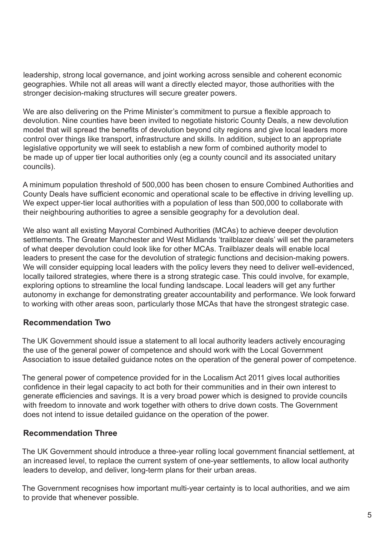leadership, strong local governance, and joint working across sensible and coherent economic geographies. While not all areas will want a directly elected mayor, those authorities with the stronger decision-making structures will secure greater powers.

We are also delivering on the Prime Minister's commitment to pursue a flexible approach to devolution. Nine counties have been invited to negotiate historic County Deals, a new devolution model that will spread the benefits of devolution beyond city regions and give local leaders more control over things like transport, infrastructure and skills. In addition, subject to an appropriate legislative opportunity we will seek to establish a new form of combined authority model to be made up of upper tier local authorities only (eg a county council and its associated unitary councils).

A minimum population threshold of 500,000 has been chosen to ensure Combined Authorities and County Deals have sufficient economic and operational scale to be effective in driving levelling up. We expect upper-tier local authorities with a population of less than 500,000 to collaborate with their neighbouring authorities to agree a sensible geography for a devolution deal.

We also want all existing Mayoral Combined Authorities (MCAs) to achieve deeper devolution settlements. The Greater Manchester and West Midlands 'trailblazer deals' will set the parameters of what deeper devolution could look like for other MCAs. Trailblazer deals will enable local leaders to present the case for the devolution of strategic functions and decision-making powers. We will consider equipping local leaders with the policy levers they need to deliver well-evidenced, locally tailored strategies, where there is a strong strategic case. This could involve, for example, exploring options to streamline the local funding landscape. Local leaders will get any further autonomy in exchange for demonstrating greater accountability and performance. We look forward to working with other areas soon, particularly those MCAs that have the strongest strategic case.

#### **Recommendation Two**

The UK Government should issue a statement to all local authority leaders actively encouraging the use of the general power of competence and should work with the Local Government Association to issue detailed guidance notes on the operation of the general power of competence.

The general power of competence provided for in the Localism Act 2011 gives local authorities confidence in their legal capacity to act both for their communities and in their own interest to generate efficiencies and savings. It is a very broad power which is designed to provide councils with freedom to innovate and work together with others to drive down costs. The Government does not intend to issue detailed guidance on the operation of the power.

#### **Recommendation Three**

The UK Government should introduce a three-year rolling local government financial settlement, at an increased level, to replace the current system of one-year settlements, to allow local authority leaders to develop, and deliver, long-term plans for their urban areas.

The Government recognises how important multi-year certainty is to local authorities, and we aim to provide that whenever possible.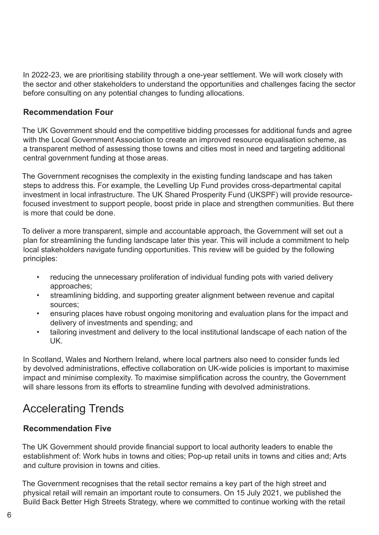In 2022-23, we are prioritising stability through a one-year settlement. We will work closely with the sector and other stakeholders to understand the opportunities and challenges facing the sector before consulting on any potential changes to funding allocations.

#### **Recommendation Four**

The UK Government should end the competitive bidding processes for additional funds and agree with the Local Government Association to create an improved resource equalisation scheme, as a transparent method of assessing those towns and cities most in need and targeting additional central government funding at those areas.

The Government recognises the complexity in the existing funding landscape and has taken steps to address this. For example, the Levelling Up Fund provides cross-departmental capital investment in local infrastructure. The UK Shared Prosperity Fund (UKSPF) will provide resourcefocused investment to support people, boost pride in place and strengthen communities. But there is more that could be done.

To deliver a more transparent, simple and accountable approach, the Government will set out a plan for streamlining the funding landscape later this year. This will include a commitment to help local stakeholders navigate funding opportunities. This review will be guided by the following principles:

- reducing the unnecessary proliferation of individual funding pots with varied delivery approaches;
- streamlining bidding, and supporting greater alignment between revenue and capital sources;
- ensuring places have robust ongoing monitoring and evaluation plans for the impact and delivery of investments and spending; and
- tailoring investment and delivery to the local institutional landscape of each nation of the UK.

In Scotland, Wales and Northern Ireland, where local partners also need to consider funds led by devolved administrations, effective collaboration on UK-wide policies is important to maximise impact and minimise complexity. To maximise simplification across the country, the Government will share lessons from its efforts to streamline funding with devolved administrations.

## Accelerating Trends

#### **Recommendation Five**

The UK Government should provide financial support to local authority leaders to enable the establishment of: Work hubs in towns and cities; Pop-up retail units in towns and cities and; Arts and culture provision in towns and cities.

The Government recognises that the retail sector remains a key part of the high street and physical retail will remain an important route to consumers. On 15 July 2021, we published the Build Back Better High Streets Strategy, where we committed to continue working with the retail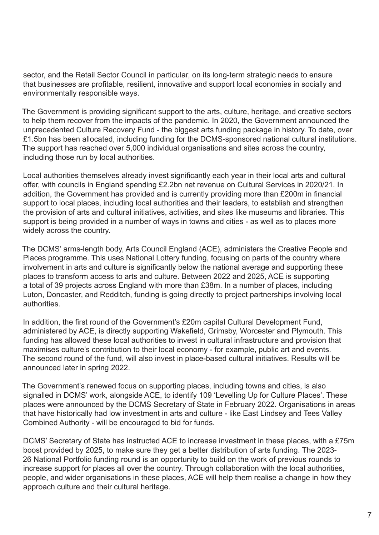sector, and the Retail Sector Council in particular, on its long-term strategic needs to ensure that businesses are profitable, resilient, innovative and support local economies in socially and environmentally responsible ways.

The Government is providing significant support to the arts, culture, heritage, and creative sectors to help them recover from the impacts of the pandemic. In 2020, the Government announced the unprecedented Culture Recovery Fund - the biggest arts funding package in history. To date, over £1.5bn has been allocated, including funding for the DCMS-sponsored national cultural institutions. The support has reached over 5,000 individual organisations and sites across the country, including those run by local authorities.

Local authorities themselves already invest significantly each year in their local arts and cultural offer, with councils in England spending £2.2bn net revenue on Cultural Services in 2020/21. In addition, the Government has provided and is currently providing more than £200m in financial support to local places, including local authorities and their leaders, to establish and strengthen the provision of arts and cultural initiatives, activities, and sites like museums and libraries. This support is being provided in a number of ways in towns and cities - as well as to places more widely across the country.

The DCMS' arms-length body, Arts Council England (ACE), administers the Creative People and Places programme. This uses National Lottery funding, focusing on parts of the country where involvement in arts and culture is significantly below the national average and supporting these places to transform access to arts and culture. Between 2022 and 2025, ACE is supporting a total of 39 projects across England with more than £38m. In a number of places, including Luton, Doncaster, and Redditch, funding is going directly to project partnerships involving local authorities.

In addition, the first round of the Government's £20m capital Cultural Development Fund, administered by ACE, is directly supporting Wakefield, Grimsby, Worcester and Plymouth. This funding has allowed these local authorities to invest in cultural infrastructure and provision that maximises culture's contribution to their local economy - for example, public art and events. The second round of the fund, will also invest in place-based cultural initiatives. Results will be announced later in spring 2022.

The Government's renewed focus on supporting places, including towns and cities, is also signalled in DCMS' work, alongside ACE, to identify 109 'Levelling Up for Culture Places'. These places were announced by the DCMS Secretary of State in February 2022. Organisations in areas that have historically had low investment in arts and culture - like East Lindsey and Tees Valley Combined Authority - will be encouraged to bid for funds.

DCMS' Secretary of State has instructed ACE to increase investment in these places, with a £75m boost provided by 2025, to make sure they get a better distribution of arts funding. The 2023- 26 National Portfolio funding round is an opportunity to build on the work of previous rounds to increase support for places all over the country. Through collaboration with the local authorities, people, and wider organisations in these places, ACE will help them realise a change in how they approach culture and their cultural heritage.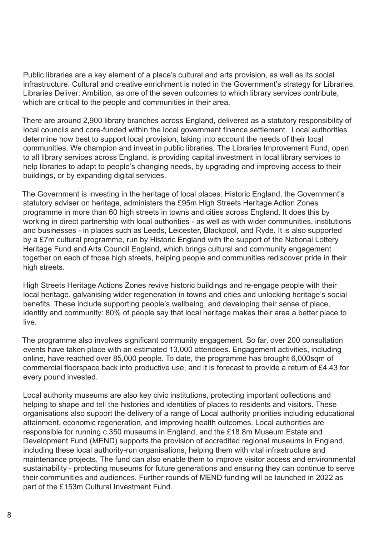Public libraries are a key element of a place's cultural and arts provision, as well as its social infrastructure. Cultural and creative enrichment is noted in the Government's strategy for Libraries, Libraries Deliver: Ambition, as one of the seven outcomes to which library services contribute, which are critical to the people and communities in their area.

There are around 2,900 library branches across England, delivered as a statutory responsibility of local councils and core-funded within the local government finance settlement. Local authorities determine how best to support local provision, taking into account the needs of their local communities. We champion and invest in public libraries. The Libraries Improvement Fund, open to all library services across England, is providing capital investment in local library services to help libraries to adapt to people's changing needs, by upgrading and improving access to their buildings, or by expanding digital services.

The Government is investing in the heritage of local places: Historic England, the Government's statutory adviser on heritage, administers the £95m High Streets Heritage Action Zones programme in more than 60 high streets in towns and cities across England. It does this by working in direct partnership with local authorities - as well as with wider communities, institutions and businesses - in places such as Leeds, Leicester, Blackpool, and Ryde. It is also supported by a £7m cultural programme, run by Historic England with the support of the National Lottery Heritage Fund and Arts Council England, which brings cultural and community engagement together on each of those high streets, helping people and communities rediscover pride in their high streets.

High Streets Heritage Actions Zones revive historic buildings and re-engage people with their local heritage, galvanising wider regeneration in towns and cities and unlocking heritage's social benefits. These include supporting people's wellbeing, and developing their sense of place, identity and community: 80% of people say that local heritage makes their area a better place to live.

The programme also involves significant community engagement. So far, over 200 consultation events have taken place with an estimated 13,000 attendees. Engagement activities, including online, have reached over 85,000 people. To date, the programme has brought 6,000sqm of commercial floorspace back into productive use, and it is forecast to provide a return of £4.43 for every pound invested.

Local authority museums are also key civic institutions, protecting important collections and helping to shape and tell the histories and identities of places to residents and visitors. These organisations also support the delivery of a range of Local authority priorities including educational attainment, economic regeneration, and improving health outcomes. Local authorities are responsible for running c.350 museums in England, and the £18.8m Museum Estate and Development Fund (MEND) supports the provision of accredited regional museums in England, including these local authority-run organisations, helping them with vital infrastructure and maintenance projects. The fund can also enable them to improve visitor access and environmental sustainability - protecting museums for future generations and ensuring they can continue to serve their communities and audiences. Further rounds of MEND funding will be launched in 2022 as part of the £153m Cultural Investment Fund.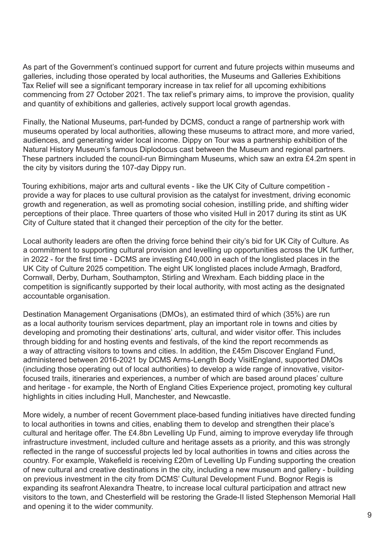As part of the Government's continued support for current and future projects within museums and galleries, including those operated by local authorities, the Museums and Galleries Exhibitions Tax Relief will see a significant temporary increase in tax relief for all upcoming exhibitions commencing from 27 October 2021. The tax relief's primary aims, to improve the provision, quality and quantity of exhibitions and galleries, actively support local growth agendas.

Finally, the National Museums, part-funded by DCMS, conduct a range of partnership work with museums operated by local authorities, allowing these museums to attract more, and more varied, audiences, and generating wider local income. Dippy on Tour was a partnership exhibition of the Natural History Museum's famous Diplodocus cast between the Museum and regional partners. These partners included the council-run Birmingham Museums, which saw an extra £4.2m spent in the city by visitors during the 107-day Dippy run.

Touring exhibitions, major arts and cultural events - like the UK City of Culture competition provide a way for places to use cultural provision as the catalyst for investment, driving economic growth and regeneration, as well as promoting social cohesion, instilling pride, and shifting wider perceptions of their place. Three quarters of those who visited Hull in 2017 during its stint as UK City of Culture stated that it changed their perception of the city for the better.

Local authority leaders are often the driving force behind their city's bid for UK City of Culture. As a commitment to supporting cultural provision and levelling up opportunities across the UK further, in 2022 - for the first time - DCMS are investing £40,000 in each of the longlisted places in the UK City of Culture 2025 competition. The eight UK longlisted places include Armagh, Bradford, Cornwall, Derby, Durham, Southampton, Stirling and Wrexham. Each bidding place in the competition is significantly supported by their local authority, with most acting as the designated accountable organisation.

Destination Management Organisations (DMOs), an estimated third of which (35%) are run as a local authority tourism services department, play an important role in towns and cities by developing and promoting their destinations' arts, cultural, and wider visitor offer. This includes through bidding for and hosting events and festivals, of the kind the report recommends as a way of attracting visitors to towns and cities. In addition, the £45m Discover England Fund, administered between 2016-2021 by DCMS Arms-Length Body VisitEngland, supported DMOs (including those operating out of local authorities) to develop a wide range of innovative, visitorfocused trails, itineraries and experiences, a number of which are based around places' culture and heritage - for example, the North of England Cities Experience project, promoting key cultural highlights in cities including Hull, Manchester, and Newcastle.

More widely, a number of recent Government place-based funding initiatives have directed funding to local authorities in towns and cities, enabling them to develop and strengthen their place's cultural and heritage offer. The £4.8bn Levelling Up Fund, aiming to improve everyday life through infrastructure investment, included culture and heritage assets as a priority, and this was strongly reflected in the range of successful projects led by local authorities in towns and cities across the country. For example, Wakefield is receiving £20m of Levelling Up Funding supporting the creation of new cultural and creative destinations in the city, including a new museum and gallery - building on previous investment in the city from DCMS' Cultural Development Fund. Bognor Regis is expanding its seafront Alexandra Theatre, to increase local cultural participation and attract new visitors to the town, and Chesterfield will be restoring the Grade-II listed Stephenson Memorial Hall and opening it to the wider community.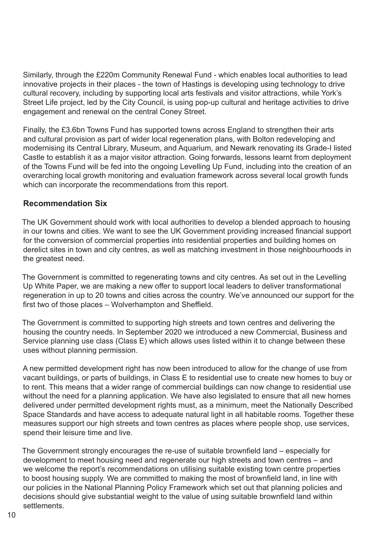Similarly, through the £220m Community Renewal Fund - which enables local authorities to lead innovative projects in their places - the town of Hastings is developing using technology to drive cultural recovery, including by supporting local arts festivals and visitor attractions, while York's Street Life project, led by the City Council, is using pop-up cultural and heritage activities to drive engagement and renewal on the central Coney Street.

Finally, the £3.6bn Towns Fund has supported towns across England to strengthen their arts and cultural provision as part of wider local regeneration plans, with Bolton redeveloping and modernising its Central Library, Museum, and Aquarium, and Newark renovating its Grade-I listed Castle to establish it as a major visitor attraction. Going forwards, lessons learnt from deployment of the Towns Fund will be fed into the ongoing Levelling Up Fund, including into the creation of an overarching local growth monitoring and evaluation framework across several local growth funds which can incorporate the recommendations from this report.

#### **Recommendation Six**

The UK Government should work with local authorities to develop a blended approach to housing in our towns and cities. We want to see the UK Government providing increased financial support for the conversion of commercial properties into residential properties and building homes on derelict sites in town and city centres, as well as matching investment in those neighbourhoods in the greatest need.

The Government is committed to regenerating towns and city centres. As set out in the Levelling Up White Paper, we are making a new offer to support local leaders to deliver transformational regeneration in up to 20 towns and cities across the country. We've announced our support for the first two of those places – Wolverhampton and Sheffield.

The Government is committed to supporting high streets and town centres and delivering the housing the country needs. In September 2020 we introduced a new Commercial, Business and Service planning use class (Class E) which allows uses listed within it to change between these uses without planning permission.

A new permitted development right has now been introduced to allow for the change of use from vacant buildings, or parts of buildings, in Class E to residential use to create new homes to buy or to rent. This means that a wider range of commercial buildings can now change to residential use without the need for a planning application. We have also legislated to ensure that all new homes delivered under permitted development rights must, as a minimum, meet the Nationally Described Space Standards and have access to adequate natural light in all habitable rooms. Together these measures support our high streets and town centres as places where people shop, use services, spend their leisure time and live.

The Government strongly encourages the re-use of suitable brownfield land – especially for development to meet housing need and regenerate our high streets and town centres – and we welcome the report's recommendations on utilising suitable existing town centre properties to boost housing supply. We are committed to making the most of brownfield land, in line with our policies in the National Planning Policy Framework which set out that planning policies and decisions should give substantial weight to the value of using suitable brownfield land within settlements.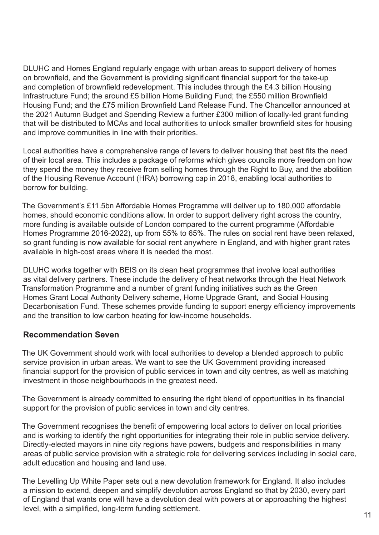DLUHC and Homes England regularly engage with urban areas to support delivery of homes on brownfield, and the Government is providing significant financial support for the take-up and completion of brownfield redevelopment. This includes through the £4.3 billion Housing Infrastructure Fund; the around £5 billion Home Building Fund; the £550 million Brownfield Housing Fund; and the £75 million Brownfield Land Release Fund. The Chancellor announced at the 2021 Autumn Budget and Spending Review a further £300 million of locally-led grant funding that will be distributed to MCAs and local authorities to unlock smaller brownfield sites for housing and improve communities in line with their priorities.

Local authorities have a comprehensive range of levers to deliver housing that best fits the need of their local area. This includes a package of reforms which gives councils more freedom on how they spend the money they receive from selling homes through the Right to Buy, and the abolition of the Housing Revenue Account (HRA) borrowing cap in 2018, enabling local authorities to borrow for building.

The Government's £11.5bn Affordable Homes Programme will deliver up to 180,000 affordable homes, should economic conditions allow. In order to support delivery right across the country, more funding is available outside of London compared to the current programme (Affordable Homes Programme 2016-2022), up from 55% to 65%. The rules on social rent have been relaxed, so grant funding is now available for social rent anywhere in England, and with higher grant rates available in high-cost areas where it is needed the most.

DLUHC works together with BEIS on its clean heat programmes that involve local authorities as vital delivery partners. These include the delivery of heat networks through the Heat Network Transformation Programme and a number of grant funding initiatives such as the Green Homes Grant Local Authority Delivery scheme, Home Upgrade Grant, and Social Housing Decarbonisation Fund. These schemes provide funding to support energy efficiency improvements and the transition to low carbon heating for low-income households.

#### **Recommendation Seven**

The UK Government should work with local authorities to develop a blended approach to public service provision in urban areas. We want to see the UK Government providing increased financial support for the provision of public services in town and city centres, as well as matching investment in those neighbourhoods in the greatest need.

The Government is already committed to ensuring the right blend of opportunities in its financial support for the provision of public services in town and city centres.

The Government recognises the benefit of empowering local actors to deliver on local priorities and is working to identify the right opportunities for integrating their role in public service delivery. Directly-elected mayors in nine city regions have powers, budgets and responsibilities in many areas of public service provision with a strategic role for delivering services including in social care, adult education and housing and land use.

The Levelling Up White Paper sets out a new devolution framework for England. It also includes a mission to extend, deepen and simplify devolution across England so that by 2030, every part of England that wants one will have a devolution deal with powers at or approaching the highest level, with a simplified, long-term funding settlement.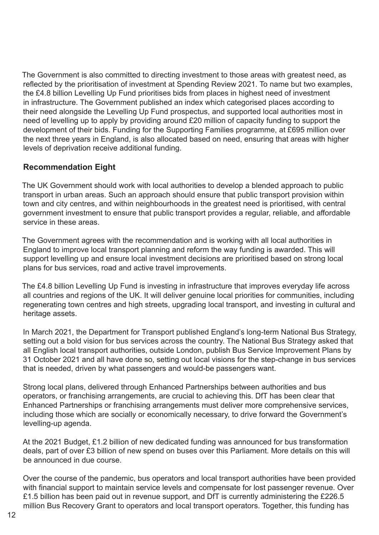The Government is also committed to directing investment to those areas with greatest need, as reflected by the prioritisation of investment at Spending Review 2021. To name but two examples, the £4.8 billion Levelling Up Fund prioritises bids from places in highest need of investment in infrastructure. The Government published an index which categorised places according to their need alongside the Levelling Up Fund prospectus, and supported local authorities most in need of levelling up to apply by providing around £20 million of capacity funding to support the development of their bids. Funding for the Supporting Families programme, at £695 million over the next three years in England, is also allocated based on need, ensuring that areas with higher levels of deprivation receive additional funding.

### **Recommendation Eight**

The UK Government should work with local authorities to develop a blended approach to public transport in urban areas. Such an approach should ensure that public transport provision within town and city centres, and within neighbourhoods in the greatest need is prioritised, with central government investment to ensure that public transport provides a regular, reliable, and affordable service in these areas.

The Government agrees with the recommendation and is working with all local authorities in England to improve local transport planning and reform the way funding is awarded. This will support levelling up and ensure local investment decisions are prioritised based on strong local plans for bus services, road and active travel improvements.

The £4.8 billion Levelling Up Fund is investing in infrastructure that improves everyday life across all countries and regions of the UK. It will deliver genuine local priorities for communities, including regenerating town centres and high streets, upgrading local transport, and investing in cultural and heritage assets.

In March 2021, the Department for Transport published England's long-term National Bus Strategy, setting out a bold vision for bus services across the country. The National Bus Strategy asked that all English local transport authorities, outside London, publish Bus Service Improvement Plans by 31 October 2021 and all have done so, setting out local visions for the step-change in bus services that is needed, driven by what passengers and would-be passengers want.

Strong local plans, delivered through Enhanced Partnerships between authorities and bus operators, or franchising arrangements, are crucial to achieving this. DfT has been clear that Enhanced Partnerships or franchising arrangements must deliver more comprehensive services, including those which are socially or economically necessary, to drive forward the Government's levelling-up agenda.

At the 2021 Budget, £1.2 billion of new dedicated funding was announced for bus transformation deals, part of over £3 billion of new spend on buses over this Parliament. More details on this will be announced in due course.

Over the course of the pandemic, bus operators and local transport authorities have been provided with financial support to maintain service levels and compensate for lost passenger revenue. Over £1.5 billion has been paid out in revenue support, and DfT is currently administering the £226.5 million Bus Recovery Grant to operators and local transport operators. Together, this funding has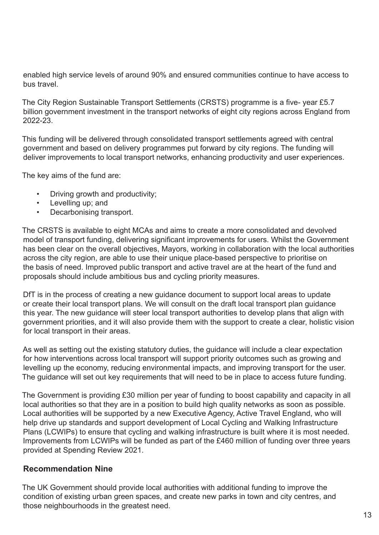enabled high service levels of around 90% and ensured communities continue to have access to bus travel.

The City Region Sustainable Transport Settlements (CRSTS) programme is a five- year £5.7 billion government investment in the transport networks of eight city regions across England from 2022-23.

This funding will be delivered through consolidated transport settlements agreed with central government and based on delivery programmes put forward by city regions. The funding will deliver improvements to local transport networks, enhancing productivity and user experiences.

The key aims of the fund are:

- Driving growth and productivity;
- Levelling up; and
- Decarbonising transport.

The CRSTS is available to eight MCAs and aims to create a more consolidated and devolved model of transport funding, delivering significant improvements for users. Whilst the Government has been clear on the overall objectives, Mayors, working in collaboration with the local authorities across the city region, are able to use their unique place-based perspective to prioritise on the basis of need. Improved public transport and active travel are at the heart of the fund and proposals should include ambitious bus and cycling priority measures.

DfT is in the process of creating a new guidance document to support local areas to update or create their local transport plans. We will consult on the draft local transport plan guidance this year. The new guidance will steer local transport authorities to develop plans that align with government priorities, and it will also provide them with the support to create a clear, holistic vision for local transport in their areas.

As well as setting out the existing statutory duties, the guidance will include a clear expectation for how interventions across local transport will support priority outcomes such as growing and levelling up the economy, reducing environmental impacts, and improving transport for the user. The guidance will set out key requirements that will need to be in place to access future funding.

The Government is providing £30 million per year of funding to boost capability and capacity in all local authorities so that they are in a position to build high quality networks as soon as possible. Local authorities will be supported by a new Executive Agency, Active Travel England, who will help drive up standards and support development of Local Cycling and Walking Infrastructure Plans (LCWIPs) to ensure that cycling and walking infrastructure is built where it is most needed. Improvements from LCWIPs will be funded as part of the £460 million of funding over three years provided at Spending Review 2021.

#### **Recommendation Nine**

The UK Government should provide local authorities with additional funding to improve the condition of existing urban green spaces, and create new parks in town and city centres, and those neighbourhoods in the greatest need.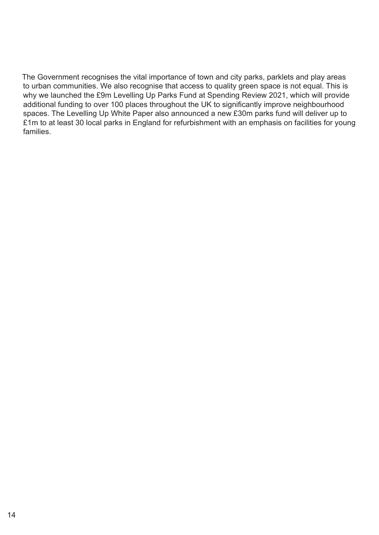The Government recognises the vital importance of town and city parks, parklets and play areas to urban communities. We also recognise that access to quality green space is not equal. This is why we launched the £9m Levelling Up Parks Fund at Spending Review 2021, which will provide additional funding to over 100 places throughout the UK to significantly improve neighbourhood spaces. The Levelling Up White Paper also announced a new £30m parks fund will deliver up to £1m to at least 30 local parks in England for refurbishment with an emphasis on facilities for young families.